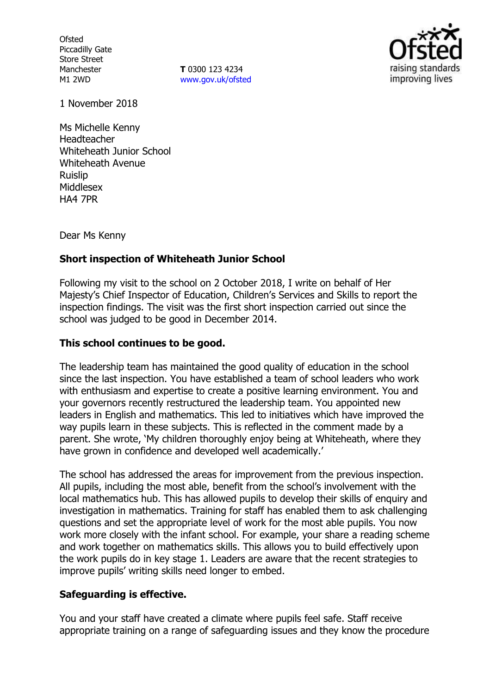**Ofsted** Piccadilly Gate Store Street Manchester M1 2WD

**T** 0300 123 4234 www.gov.uk/ofsted



1 November 2018

Ms Michelle Kenny Headteacher Whiteheath Junior School Whiteheath Avenue Ruislip Middlesex HA4 7PR

Dear Ms Kenny

## **Short inspection of Whiteheath Junior School**

Following my visit to the school on 2 October 2018, I write on behalf of Her Majesty's Chief Inspector of Education, Children's Services and Skills to report the inspection findings. The visit was the first short inspection carried out since the school was judged to be good in December 2014.

## **This school continues to be good.**

The leadership team has maintained the good quality of education in the school since the last inspection. You have established a team of school leaders who work with enthusiasm and expertise to create a positive learning environment. You and your governors recently restructured the leadership team. You appointed new leaders in English and mathematics. This led to initiatives which have improved the way pupils learn in these subjects. This is reflected in the comment made by a parent. She wrote, 'My children thoroughly enjoy being at Whiteheath, where they have grown in confidence and developed well academically.'

The school has addressed the areas for improvement from the previous inspection. All pupils, including the most able, benefit from the school's involvement with the local mathematics hub. This has allowed pupils to develop their skills of enquiry and investigation in mathematics. Training for staff has enabled them to ask challenging questions and set the appropriate level of work for the most able pupils. You now work more closely with the infant school. For example, your share a reading scheme and work together on mathematics skills. This allows you to build effectively upon the work pupils do in key stage 1. Leaders are aware that the recent strategies to improve pupils' writing skills need longer to embed.

## **Safeguarding is effective.**

You and your staff have created a climate where pupils feel safe. Staff receive appropriate training on a range of safeguarding issues and they know the procedure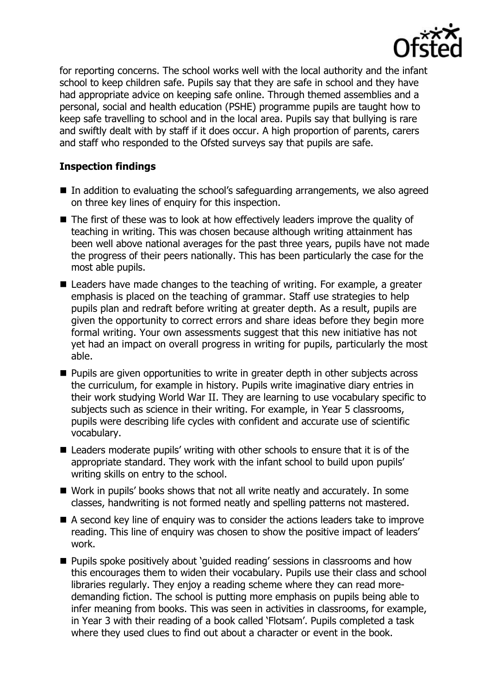

for reporting concerns. The school works well with the local authority and the infant school to keep children safe. Pupils say that they are safe in school and they have had appropriate advice on keeping safe online. Through themed assemblies and a personal, social and health education (PSHE) programme pupils are taught how to keep safe travelling to school and in the local area. Pupils say that bullying is rare and swiftly dealt with by staff if it does occur. A high proportion of parents, carers and staff who responded to the Ofsted surveys say that pupils are safe.

# **Inspection findings**

- $\blacksquare$  In addition to evaluating the school's safeguarding arrangements, we also agreed on three key lines of enquiry for this inspection.
- The first of these was to look at how effectively leaders improve the quality of teaching in writing. This was chosen because although writing attainment has been well above national averages for the past three years, pupils have not made the progress of their peers nationally. This has been particularly the case for the most able pupils.
- Leaders have made changes to the teaching of writing. For example, a greater emphasis is placed on the teaching of grammar. Staff use strategies to help pupils plan and redraft before writing at greater depth. As a result, pupils are given the opportunity to correct errors and share ideas before they begin more formal writing. Your own assessments suggest that this new initiative has not yet had an impact on overall progress in writing for pupils, particularly the most able.
- **Pupils are given opportunities to write in greater depth in other subjects across** the curriculum, for example in history. Pupils write imaginative diary entries in their work studying World War II. They are learning to use vocabulary specific to subjects such as science in their writing. For example, in Year 5 classrooms, pupils were describing life cycles with confident and accurate use of scientific vocabulary.
- Leaders moderate pupils' writing with other schools to ensure that it is of the appropriate standard. They work with the infant school to build upon pupils' writing skills on entry to the school.
- Work in pupils' books shows that not all write neatly and accurately. In some classes, handwriting is not formed neatly and spelling patterns not mastered.
- A second key line of enguiry was to consider the actions leaders take to improve reading. This line of enquiry was chosen to show the positive impact of leaders' work.
- **Pupils spoke positively about 'quided reading' sessions in classrooms and how** this encourages them to widen their vocabulary. Pupils use their class and school libraries regularly. They enjoy a reading scheme where they can read moredemanding fiction. The school is putting more emphasis on pupils being able to infer meaning from books. This was seen in activities in classrooms, for example, in Year 3 with their reading of a book called 'Flotsam'. Pupils completed a task where they used clues to find out about a character or event in the book.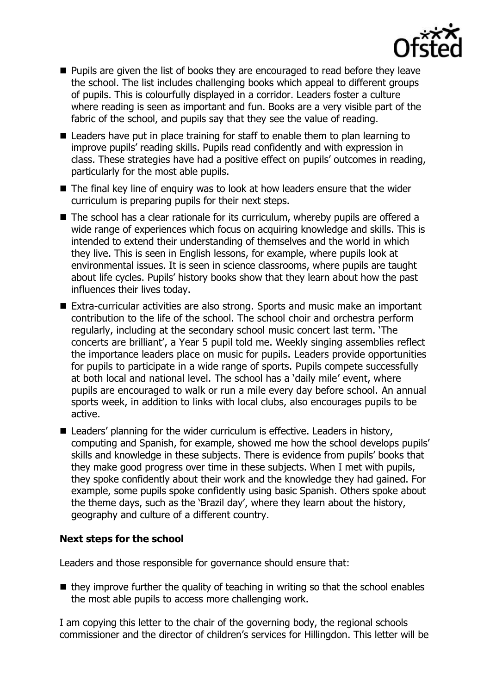

- **Pupils are given the list of books they are encouraged to read before they leave** the school. The list includes challenging books which appeal to different groups of pupils. This is colourfully displayed in a corridor. Leaders foster a culture where reading is seen as important and fun. Books are a very visible part of the fabric of the school, and pupils say that they see the value of reading.
- Leaders have put in place training for staff to enable them to plan learning to improve pupils' reading skills. Pupils read confidently and with expression in class. These strategies have had a positive effect on pupils' outcomes in reading, particularly for the most able pupils.
- The final key line of enquiry was to look at how leaders ensure that the wider curriculum is preparing pupils for their next steps.
- The school has a clear rationale for its curriculum, whereby pupils are offered a wide range of experiences which focus on acquiring knowledge and skills. This is intended to extend their understanding of themselves and the world in which they live. This is seen in English lessons, for example, where pupils look at environmental issues. It is seen in science classrooms, where pupils are taught about life cycles. Pupils' history books show that they learn about how the past influences their lives today.
- Extra-curricular activities are also strong. Sports and music make an important contribution to the life of the school. The school choir and orchestra perform regularly, including at the secondary school music concert last term. 'The concerts are brilliant', a Year 5 pupil told me. Weekly singing assemblies reflect the importance leaders place on music for pupils. Leaders provide opportunities for pupils to participate in a wide range of sports. Pupils compete successfully at both local and national level. The school has a 'daily mile' event, where pupils are encouraged to walk or run a mile every day before school. An annual sports week, in addition to links with local clubs, also encourages pupils to be active.
- Leaders' planning for the wider curriculum is effective. Leaders in history, computing and Spanish, for example, showed me how the school develops pupils' skills and knowledge in these subjects. There is evidence from pupils' books that they make good progress over time in these subjects. When I met with pupils, they spoke confidently about their work and the knowledge they had gained. For example, some pupils spoke confidently using basic Spanish. Others spoke about the theme days, such as the 'Brazil day', where they learn about the history, geography and culture of a different country.

## **Next steps for the school**

Leaders and those responsible for governance should ensure that:

 $\blacksquare$  they improve further the quality of teaching in writing so that the school enables the most able pupils to access more challenging work.

I am copying this letter to the chair of the governing body, the regional schools commissioner and the director of children's services for Hillingdon. This letter will be